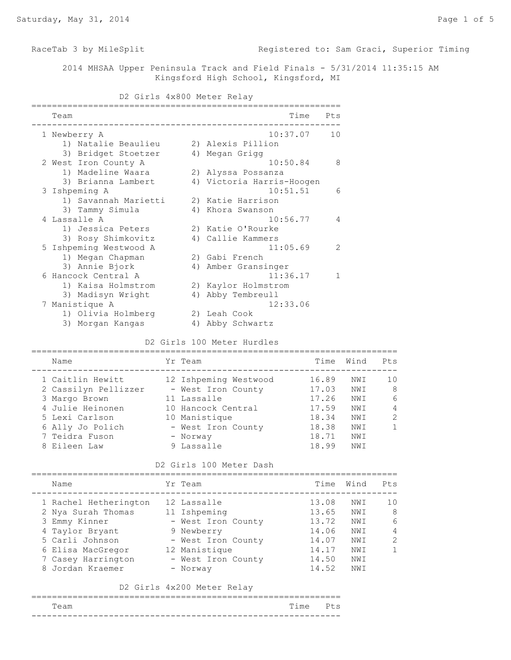RaceTab 3 by MileSplit **Registered to: Sam Graci, Superior Timing** 

 2014 MHSAA Upper Peninsula Track and Field Finals - 5/31/2014 11:35:15 AM Kingsford High School, Kingsford, MI

### D2 Girls 4x800 Meter Relay

| Team |                        |    | Time                      | Pts            |
|------|------------------------|----|---------------------------|----------------|
|      | 1 Newberry A           |    | 10:37.07                  | 1 <sub>0</sub> |
|      | 1) Natalie Beaulieu    |    | 2) Alexis Pillion         |                |
|      | 3) Bridget Stoetzer    |    | 4) Megan Grigg            |                |
|      | 2 West Iron County A   |    | 10:50.84                  | 8              |
|      | 1) Madeline Waara      |    | 2) Alyssa Possanza        |                |
|      | 3) Brianna Lambert     |    | 4) Victoria Harris-Hoogen |                |
|      | 3 Ishpeming A          |    | 10:51.51                  | 6              |
|      | 1) Savannah Marietti   |    | 2) Katie Harrison         |                |
|      | 3) Tammy Simula        |    | 4) Khora Swanson          |                |
|      | 4 Lassalle A           |    | 10:56.77                  | 4              |
|      | 1) Jessica Peters      |    | 2) Katie O'Rourke         |                |
|      | 3) Rosy Shimkovitz     |    | 4) Callie Kammers         |                |
|      | 5 Ishpeming Westwood A |    | 11:05.69                  | $\mathcal{L}$  |
|      | 1) Megan Chapman       |    | 2) Gabi French            |                |
|      | 3) Annie Bjork         |    | 4) Amber Gransinger       |                |
|      | 6 Hancock Central A    |    | 11:36.17                  | $\mathbf{1}$   |
|      | 1) Kaisa Holmstrom     |    | 2) Kaylor Holmstrom       |                |
|      | 3) Madisyn Wright      | 4) | Abby Tembreull            |                |
|      | 7 Manistique A         |    | 12:33.06                  |                |
|      | 1) Olivia Holmberg     |    | 2) Leah Cook              |                |
|      | 3) Morgan Kangas       | 4) | Abby Schwartz             |                |

## D2 Girls 100 Meter Hurdles

| Name                 | Yr Team               | Time  | Wind | Pts           |
|----------------------|-----------------------|-------|------|---------------|
| 1 Caitlin Hewitt     | 12 Ishpeming Westwood | 16.89 | NWI  | 10            |
| 2 Cassilyn Pellizzer | - West Iron County    | 17.03 | NW T | 8             |
| 3 Margo Brown        | 11 Lassalle           | 17.26 | NWI  | 6             |
| 4 Julie Heinonen     | 10 Hancock Central    | 17.59 | NWI  | 4             |
| 5 Lexi Carlson       | 10 Manistique         | 18.34 | NW T | $\mathcal{P}$ |
| 6 Ally Jo Polich     | - West Iron County    | 18.38 | NWI  |               |
| 7 Teidra Fuson       | - Norway              | 18.71 | NWI  |               |
| 8 Eileen Law         | 9 Lassalle            | 18.99 | NW T |               |

### D2 Girls 100 Meter Dash

| Name                  | Yr Team            | Time  | Wind | Pt.s           |
|-----------------------|--------------------|-------|------|----------------|
| 1 Rachel Hetherington | 12 Lassalle        | 13.08 | NWI  | 10             |
| 2 Nya Surah Thomas    | 11 Ishpeming       | 13.65 | NWI  | -8             |
| 3 Emmy Kinner         | - West Iron County | 13.72 | NWI  | 6              |
| 4 Taylor Bryant       | 9 Newberry         | 14.06 | NWI  | $\overline{4}$ |
| 5 Carli Johnson       | - West Iron County | 14.07 | NWI  | $\overline{2}$ |
| 6 Elisa MacGregor     | 12 Manistique      | 14.17 | NWI  | 1              |
| 7 Casey Harrington    | - West Iron County | 14.50 | NWI  |                |
| 8 Jordan Kraemer      | - Norway           | 14.52 | NWI  |                |

### D2 Girls 4x200 Meter Relay

| __________ |          | __ |
|------------|----------|----|
| Team       | Time Pts |    |
|            |          |    |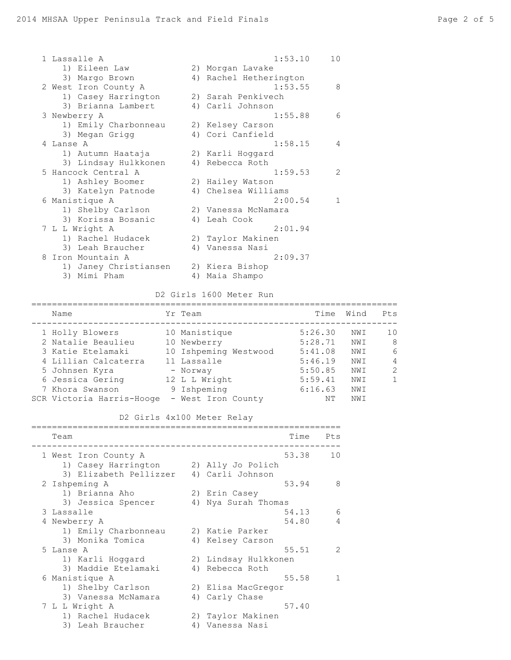|   | 1 Lassalle A          | 1:53.10<br>10          |               |
|---|-----------------------|------------------------|---------------|
|   | 1) Eileen Law         | 2) Morgan Lavake       |               |
|   | 3) Margo Brown        | 4) Rachel Hetherington |               |
|   | 2 West Iron County A  | 1:53.55                | 8             |
|   | 1) Casey Harrington   | 2) Sarah Penkivech     |               |
|   | 3) Brianna Lambert    | 4) Carli Johnson       |               |
|   | 3 Newberry A          | 1:55.88                | 6             |
|   | 1) Emily Charbonneau  | 2) Kelsey Carson       |               |
|   | 3) Megan Grigg        | 4) Cori Canfield       |               |
|   | 4 Lanse A             | 1:58.15                | 4             |
|   | 1) Autumn Haataja     | 2) Karli Hoggard       |               |
|   | 3) Lindsay Hulkkonen  | 4) Rebecca Roth        |               |
|   | 5 Hancock Central A   | 1:59.53                | $\mathcal{L}$ |
|   | 1) Ashley Boomer      | 2) Hailey Watson       |               |
|   | 3) Katelyn Patnode    | 4) Chelsea Williams    |               |
|   | 6 Manistique A        | 2:00.54                | $\mathbf{1}$  |
|   | 1) Shelby Carlson     | 2) Vanessa McNamara    |               |
|   | 3) Korissa Bosanic    | 4) Leah Cook           |               |
|   | 7 L L Wright A        | 2:01.94                |               |
|   | 1) Rachel Hudacek     | 2) Taylor Makinen      |               |
|   | 3) Leah Braucher      | 4) Vanessa Nasi        |               |
| 8 | Iron Mountain A       | 2:09.37                |               |
|   | 1) Janey Christiansen | 2) Kiera Bishop        |               |
|   | 3) Mimi Pham          | 4) Maia Shampo         |               |
|   |                       |                        |               |

# D2 Girls 1600 Meter Run

| Name                      | Yr Team               | Time    | Wind | Pts            |
|---------------------------|-----------------------|---------|------|----------------|
| 1 Holly Blowers           | 10 Manistique         | 5:26.30 | NWI  | 1 <sub>0</sub> |
| 2 Natalie Beaulieu        | 10 Newberry           | 5:28.71 | NW I | 8              |
| 3 Katie Etelamaki         | 10 Ishpeming Westwood | 5:41.08 | NWI  | 6              |
| 4 Lillian Calcaterra      | 11 Lassalle           | 5:46.19 | NWI  | 4              |
| 5 Johnsen Kyra            | - Norway              | 5:50.85 | NWI  | $\mathcal{L}$  |
| 6 Jessica Gering          | 12 L L Wright         | 5:59.41 | NWI  | $\mathbf{1}$   |
| 7 Khora Swanson           | 9 Ishpeming           | 6:16.63 | NWI  |                |
| SCR Victoria Harris-Hooge | - West Iron County    | ΝT      | NW T |                |

|               | D2 Girls 4x100 Meter Relay              |    |                      |       |               |
|---------------|-----------------------------------------|----|----------------------|-------|---------------|
| Team          |                                         |    |                      | Time  | Pts           |
|               | 1 West Iron County A                    |    |                      | 53.38 | 10            |
|               | 1) Casey Harrington (2) Ally Jo Polich  |    |                      |       |               |
|               | 3) Elizabeth Pellizzer 4) Carli Johnson |    |                      |       |               |
| 2 Ishpeming A |                                         |    |                      | 53.94 | 8             |
|               | 1) Brianna Aho                          |    | 2) Erin Casey        |       |               |
|               | 3) Jessica Spencer                      |    | 4) Nya Surah Thomas  |       |               |
| 3 Lassalle    |                                         |    |                      | 54.13 | 6             |
| 4 Newberry A  |                                         |    |                      | 54.80 | 4             |
|               | 1) Emily Charbonneau                    |    | 2) Katie Parker      |       |               |
|               | 3) Monika Tomica                        |    | 4) Kelsey Carson     |       |               |
| 5 Lanse A     |                                         |    |                      | 55.51 | $\mathcal{L}$ |
|               | 1) Karli Hoggard                        |    | 2) Lindsay Hulkkonen |       |               |
|               | 3) Maddie Etelamaki                     |    | 4) Rebecca Roth      |       |               |
|               | 6 Manistique A                          |    |                      | 55.58 | 1             |
|               | 1) Shelby Carlson                       |    | 2) Elisa MacGregor   |       |               |
|               | 3) Vanessa McNamara                     |    | 4) Carly Chase       |       |               |
|               | 7 L L Wright A                          |    |                      | 57.40 |               |
|               | 1) Rachel Hudacek                       |    | 2) Taylor Makinen    |       |               |
|               | 3) Leah Braucher                        | 4) | Vanessa Nasi         |       |               |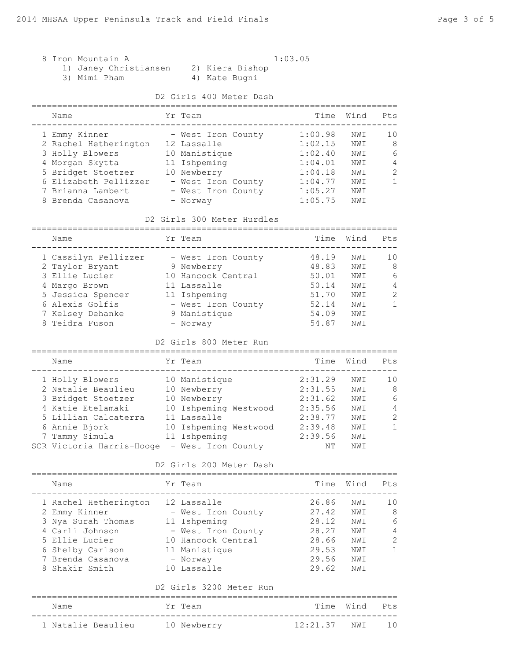|  | 8 Iron Mountain A |                    |
|--|-------------------|--------------------|
|  |                   | $11$ Tanou Christi |

3) Mimi Pham

# $1:03.05$

1) Janey Christiansen 2) Kiera Bishop

# D2 Girls 400 Meter Dash

| Name                  | Yr Team            | Time    | Wind | Pt.s          |
|-----------------------|--------------------|---------|------|---------------|
| 1 Emmy Kinner         | - West Iron County | 1:00.98 | NWI  | 10            |
| 2 Rachel Hetherington | 12 Lassalle        | 1:02.15 | NWI  | 8             |
| 3 Holly Blowers       | 10 Manistique      | 1:02.40 | NWI  | 6             |
| 4 Morgan Skytta       | 11 Ishpeming       | 1:04.01 | NWI  | 4             |
| 5 Bridget Stoetzer    | 10 Newberry        | 1:04.18 | NWI  | $\mathcal{L}$ |
| 6 Elizabeth Pellizzer | - West Iron County | 1:04.77 | NWI  | 1             |
| 7 Brianna Lambert     | - West Iron County | 1:05.27 | NWI  |               |
| 8 Brenda Casanova     | - Norway           | 1:05.75 | NW I |               |

#### D2 Girls 300 Meter Hurdles

======================================================================= Name  $Yr$  Team Time Wind Pts ----------------------------------------------------------------------- 1 Cassilyn Pellizzer - West Iron County 48.19 NWI 10 2 Taylor Bryant 9 Newberry 48.83 NWI 8 3 Ellie Lucier 10 Hancock Central 50.01 NWI 6 4 Margo Brown 11 Lassalle 50.14 NWI 4 5 Jessica Spencer 11 Ishpeming 51.70 NWI 2 6 Alexis Golfis - West Iron County 52.14 NWI 1 7 Kelsey Dehanke 9 Manistique 54.09 NWI 8 Teidra Fuson - Norway 54.87 NWI

#### D2 Girls 800 Meter Run

| Name                      | Yr Team               | Time    | Wind | Pts           |
|---------------------------|-----------------------|---------|------|---------------|
| 1 Holly Blowers           | 10 Manistique         | 2:31.29 | NWI  | 10            |
| 2 Natalie Beaulieu        | 10 Newberry           | 2:31.55 | NWI  | 8             |
| 3 Bridget Stoetzer        | 10 Newberry           | 2:31.62 | NWI  | 6             |
| 4 Katie Etelamaki         | 10 Ishpeming Westwood | 2:35.56 | NWI  | 4             |
| 5 Lillian Calcaterra      | 11 Lassalle           | 2:38.77 | NWI  | $\mathcal{L}$ |
| 6 Annie Bjork             | 10 Ishpeming Westwood | 2:39.48 | NWI  | 1.            |
| 7 Tammy Simula            | 11 Ishpeming          | 2:39.56 | NWI  |               |
| SCR Victoria Harris-Hooge | - West Iron County    | NΤ      | NWI  |               |

### D2 Girls 200 Meter Dash

| Name                  | Yr Team            | Time  | Wind | Pts            |
|-----------------------|--------------------|-------|------|----------------|
| 1 Rachel Hetherington | 12 Lassalle        | 26.86 | NWI  | 1 <sub>0</sub> |
| 2 Emmy Kinner         | - West Iron County | 27.42 | NWI  | - 8            |
| 3 Nya Surah Thomas    | 11 Ishpeming       | 28.12 | NWI  | 6              |
| 4 Carli Johnson       | - West Iron County | 28.27 | NWI  | $\overline{4}$ |
| 5 Ellie Lucier        | 10 Hancock Central | 28.66 | NWI  | $\overline{2}$ |
| 6 Shelby Carlson      | 11 Manistique      | 29.53 | NWI  | 1              |
| 7 Brenda Casanova     | - Norway           | 29.56 | NWI  |                |
| 8 Shakir Smith        | 10 Lassalle        | 29.62 | NWI  |                |
|                       |                    |       |      |                |

#### D2 Girls 3200 Meter Run

| Name               | Yr Team     |                 | Time Wind Pts |  |
|--------------------|-------------|-----------------|---------------|--|
| 1 Natalie Beaulieu | 10 Newberry | 12:21.37 NWT 10 |               |  |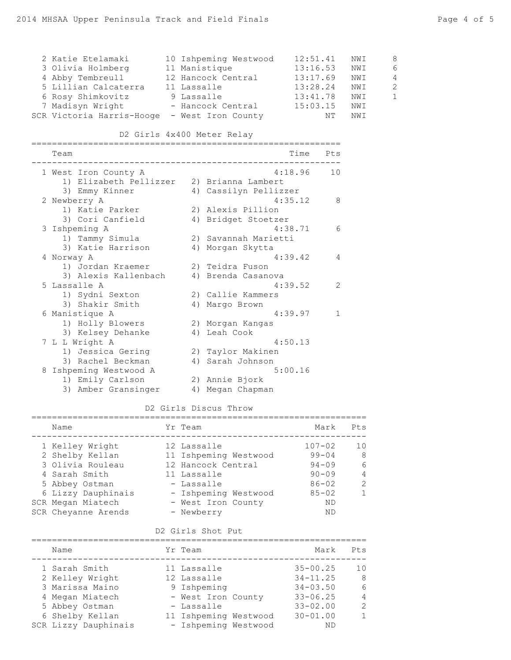| rage + or o |  |  |
|-------------|--|--|
|             |  |  |
|             |  |  |
|             |  |  |

| 2 Katie Etelamaki<br>3 Olivia Holmberg<br>4 Abby Tembreull<br>5 Lillian Calcaterra 11 Lassalle<br>6 Rosy Shimkovitz<br>9 Lassalle<br>7 Madisyn Wright - Hancock Central<br>SCR Victoria Harris-Hooge - West Iron County<br>D2 Girls 4x400 Meter Relay | 10 Ishpeming Westwood<br>11 Manistique<br>12 Hancock Central | 12:51.41     | 13:16.53<br>13:17.69<br>13:28.24<br>13:41.78<br>15:03.15<br>NΤ | NWI<br>NWI<br>NWI<br>NWI<br>NWI<br>NWI<br>NWI | 8<br>6<br>$\overline{4}$<br>$\overline{c}$<br>$\mathbf{1}$ |
|-------------------------------------------------------------------------------------------------------------------------------------------------------------------------------------------------------------------------------------------------------|--------------------------------------------------------------|--------------|----------------------------------------------------------------|-----------------------------------------------|------------------------------------------------------------|
|                                                                                                                                                                                                                                                       |                                                              |              |                                                                |                                               |                                                            |
| Team                                                                                                                                                                                                                                                  |                                                              | Time Pts     |                                                                |                                               |                                                            |
| 1 West Iron County A                                                                                                                                                                                                                                  |                                                              | $4:18.96$ 10 |                                                                |                                               |                                                            |
| 1) Elizabeth Pellizzer 2) Brianna Lambert                                                                                                                                                                                                             |                                                              |              |                                                                |                                               |                                                            |
| 3) Emmy Kinner (4) Cassilyn Pellizzer                                                                                                                                                                                                                 |                                                              |              |                                                                |                                               |                                                            |
| 2 Newberry A<br>1) Katie Parker 2) Alexis Pillion                                                                                                                                                                                                     |                                                              | 4:35.12      | 8                                                              |                                               |                                                            |
| 3) Cori Canfield                                                                                                                                                                                                                                      | 4) Bridget Stoetzer                                          |              |                                                                |                                               |                                                            |
| 3 Ishpeming A                                                                                                                                                                                                                                         |                                                              | 4:38.71      | 6                                                              |                                               |                                                            |
| 1) Tammy Simula                                                                                                                                                                                                                                       | 2) Savannah Marietti                                         |              |                                                                |                                               |                                                            |
| 3) Katie Harrison<br>4 Norway A                                                                                                                                                                                                                       | 4) Morgan Skytta                                             | 4:39.42      | 4                                                              |                                               |                                                            |
| 1) Jordan Kraemer                                                                                                                                                                                                                                     | 2) Teidra Fuson                                              |              |                                                                |                                               |                                                            |
| 3) Alexis Kallenbach (4) Brenda Casanova                                                                                                                                                                                                              |                                                              |              |                                                                |                                               |                                                            |
| 5 Lassalle A                                                                                                                                                                                                                                          |                                                              | 4:39.52      | 2                                                              |                                               |                                                            |
| 1) Sydni Sexton<br>3) Shakir Smith                                                                                                                                                                                                                    | 2) Callie Kammers<br>4) Margo Brown                          |              |                                                                |                                               |                                                            |
| 6 Manistique A                                                                                                                                                                                                                                        |                                                              | 4:39.97      | 1                                                              |                                               |                                                            |
| 1) Holly Blowers                                                                                                                                                                                                                                      | 2) Morgan Kangas                                             |              |                                                                |                                               |                                                            |
| 3) Kelsey Dehanke                                                                                                                                                                                                                                     | 4) Leah Cook                                                 |              |                                                                |                                               |                                                            |
| 7 L L Wright A                                                                                                                                                                                                                                        |                                                              | 4:50.13      |                                                                |                                               |                                                            |
| 1) Jessica Gering<br>3) Rachel Beckman                                                                                                                                                                                                                | 2) Taylor Makinen<br>4) Sarah Johnson                        |              |                                                                |                                               |                                                            |
| 8 Ishpeming Westwood A                                                                                                                                                                                                                                |                                                              | 5:00.16      |                                                                |                                               |                                                            |
| 1) Emily Carlson                                                                                                                                                                                                                                      | 2) Annie Bjork                                               |              |                                                                |                                               |                                                            |
| 3) Amber Gransinger 4) Megan Chapman                                                                                                                                                                                                                  |                                                              |              |                                                                |                                               |                                                            |

# D2 Girls Discus Throw

| Name                               | Yr Team                              | Mark                    | Pt.s               |
|------------------------------------|--------------------------------------|-------------------------|--------------------|
| 1 Kelley Wright<br>2 Shelby Kellan | 12 Lassalle<br>11 Ishpeming Westwood | $107 - 02$<br>$99 - 04$ | 10<br>-8           |
| 3 Olivia Rouleau                   | 12 Hancock Central                   | $94 - 09$               | 6                  |
| 4 Sarah Smith<br>5 Abbey Ostman    | 11 Lassalle<br>- Lassalle            | $90 - 09$<br>$86 - 02$  | 4<br>$\mathcal{P}$ |
| 6 Lizzy Dauphinais                 | - Ishpeming Westwood                 | $85 - 02$               | $\mathbf{1}$       |
| SCR Megan Miatech                  | - West Iron County                   | ND                      |                    |
| SCR Cheyanne Arends                | - Newberry                           | ND                      |                    |

# D2 Girls Shot Put

| Name                                                                         | Yr Team                                                                           | Mark                                               | Pts                              |
|------------------------------------------------------------------------------|-----------------------------------------------------------------------------------|----------------------------------------------------|----------------------------------|
| 1 Sarah Smith<br>2 Kelley Wright<br>3 Marissa Maino                          | 11 Lassalle<br>12 Lassalle<br>9 Ishpeming                                         | $35 - 00.25$<br>$34 - 11.25$<br>$34 - 03.50$       | 10<br>- 8<br>6<br>$\overline{4}$ |
| 4 Megan Miatech<br>5 Abbey Ostman<br>6 Shelby Kellan<br>SCR Lizzy Dauphinais | - West Iron County<br>- Lassalle<br>11 Ishpeming Westwood<br>- Ishpeming Westwood | $33 - 06.25$<br>$33 - 02.00$<br>$30 - 01.00$<br>ND | $\mathcal{L}$<br>1               |